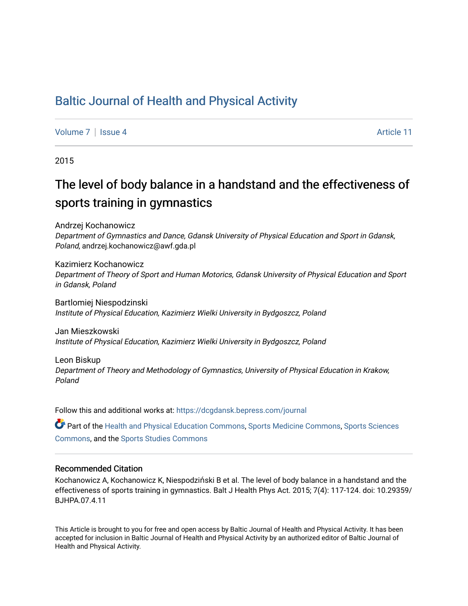## [Baltic Journal of Health and Physical Activity](https://dcgdansk.bepress.com/journal)

[Volume 7](https://dcgdansk.bepress.com/journal/vol7) | [Issue 4](https://dcgdansk.bepress.com/journal/vol7/iss4) Article 11

2015

## The level of body balance in a handstand and the effectiveness of sports training in gymnastics

Andrzej Kochanowicz Department of Gymnastics and Dance, Gdansk University of Physical Education and Sport in Gdansk, Poland, andrzej.kochanowicz@awf.gda.pl

Kazimierz Kochanowicz Department of Theory of Sport and Human Motorics, Gdansk University of Physical Education and Sport in Gdansk, Poland

Bartlomiej Niespodzinski Institute of Physical Education, Kazimierz Wielki University in Bydgoszcz, Poland

Jan Mieszkowski Institute of Physical Education, Kazimierz Wielki University in Bydgoszcz, Poland

Leon Biskup Department of Theory and Methodology of Gymnastics, University of Physical Education in Krakow, Poland

Follow this and additional works at: [https://dcgdansk.bepress.com/journal](https://dcgdansk.bepress.com/journal?utm_source=dcgdansk.bepress.com%2Fjournal%2Fvol7%2Fiss4%2F11&utm_medium=PDF&utm_campaign=PDFCoverPages)

Part of the [Health and Physical Education Commons](http://network.bepress.com/hgg/discipline/1327?utm_source=dcgdansk.bepress.com%2Fjournal%2Fvol7%2Fiss4%2F11&utm_medium=PDF&utm_campaign=PDFCoverPages), [Sports Medicine Commons,](http://network.bepress.com/hgg/discipline/1331?utm_source=dcgdansk.bepress.com%2Fjournal%2Fvol7%2Fiss4%2F11&utm_medium=PDF&utm_campaign=PDFCoverPages) [Sports Sciences](http://network.bepress.com/hgg/discipline/759?utm_source=dcgdansk.bepress.com%2Fjournal%2Fvol7%2Fiss4%2F11&utm_medium=PDF&utm_campaign=PDFCoverPages) [Commons](http://network.bepress.com/hgg/discipline/759?utm_source=dcgdansk.bepress.com%2Fjournal%2Fvol7%2Fiss4%2F11&utm_medium=PDF&utm_campaign=PDFCoverPages), and the [Sports Studies Commons](http://network.bepress.com/hgg/discipline/1198?utm_source=dcgdansk.bepress.com%2Fjournal%2Fvol7%2Fiss4%2F11&utm_medium=PDF&utm_campaign=PDFCoverPages) 

#### Recommended Citation

Kochanowicz A, Kochanowicz K, Niespodziński B et al. The level of body balance in a handstand and the effectiveness of sports training in gymnastics. Balt J Health Phys Act. 2015; 7(4): 117-124. doi: 10.29359/ BJHPA.07.4.11

This Article is brought to you for free and open access by Baltic Journal of Health and Physical Activity. It has been accepted for inclusion in Baltic Journal of Health and Physical Activity by an authorized editor of Baltic Journal of Health and Physical Activity.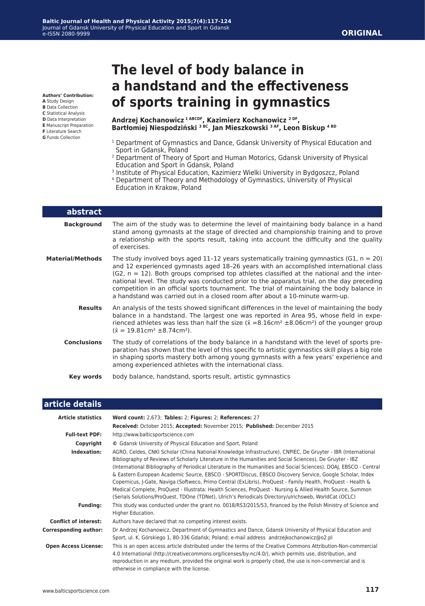#### **ORIGINAL**

**Authors' Contribution: A** Study Design

- **B** Data Collection
- **C** Statistical Analysis
- **D** Data Interpretation
- **E** Manuscript Preparation
- **F** Literature Search
- **G** Funds Collection

# **The level of body balance in a handstand and the effectiveness of sports training in gymnastics**

**Andrzej Kochanowicz 1 ABCDF, Kazimierz Kochanowicz 2 DF, Bartłomiej Niespodziński 3 BC, Jan Mieszkowski 3 AF, Leon Biskup 4 BD**

- <sup>1</sup> Department of Gymnastics and Dance, Gdansk University of Physical Education and Sport in Gdansk, Poland
- <sup>2</sup> Department of Theory of Sport and Human Motorics, Gdansk University of Physical Education and Sport in Gdansk, Poland
- <sup>3</sup> Institute of Physical Education, Kazimierz Wielki University in Bydgoszcz, Poland
- 4 Department of Theory and Methodology of Gymnastics, University of Physical Education in Krakow, Poland

| <b>abstract</b>         |                                                                                                                                                                                                                                                                                                                                                                                                                                                                                                                                                                    |
|-------------------------|--------------------------------------------------------------------------------------------------------------------------------------------------------------------------------------------------------------------------------------------------------------------------------------------------------------------------------------------------------------------------------------------------------------------------------------------------------------------------------------------------------------------------------------------------------------------|
| <b>Background</b>       | The aim of the study was to determine the level of maintaining body balance in a hand<br>stand among gymnasts at the stage of directed and championship training and to prove<br>a relationship with the sports result, taking into account the difficulty and the quality<br>of exercises.                                                                                                                                                                                                                                                                        |
| <b>Material/Methods</b> | The study involved boys aged 11–12 years systematically training gymnastics (G1, $n = 20$ )<br>and 12 experienced gymnasts aged 18-26 years with an accomplished international class<br>$(G2, n = 12)$ . Both groups comprised top athletes classified at the national and the inter-<br>national level. The study was conducted prior to the apparatus trial, on the day preceding<br>competition in an official sports tournament. The trial of maintaining the body balance in<br>a handstand was carried out in a closed room after about a 10-minute warm-up. |
| <b>Results</b>          | An analysis of the tests showed significant differences in the level of maintaining the body<br>balance in a handstand. The largest one was reported in Area 95, whose field in expe-<br>rienced athletes was less than half the size ( $\bar{x}$ =8.16cm <sup>2</sup> ±8.06cm <sup>2</sup> ) of the younger group<br>$(\bar{x} = 19.81 \text{cm}^2 \pm 8.74 \text{cm}^2).$                                                                                                                                                                                        |
| <b>Conclusions</b>      | The study of correlations of the body balance in a handstand with the level of sports pre-<br>paration has shown that the level of this specific to artistic gymnastics skill plays a big role<br>in shaping sports mastery both among young gymnasts with a few years' experience and<br>among experienced athletes with the international class.                                                                                                                                                                                                                 |
| Key words               | body balance, handstand, sports result, artistic gymnastics                                                                                                                                                                                                                                                                                                                                                                                                                                                                                                        |

#### **article details**

| <b>Article statistics</b>    | Word count: 2,673; Tables: 2; Figures: 2; References: 27                                                                                                                                                                                                                                                                                                                                                                                                                                                                                                                                                                                                                                                                                                                                             |  |  |  |
|------------------------------|------------------------------------------------------------------------------------------------------------------------------------------------------------------------------------------------------------------------------------------------------------------------------------------------------------------------------------------------------------------------------------------------------------------------------------------------------------------------------------------------------------------------------------------------------------------------------------------------------------------------------------------------------------------------------------------------------------------------------------------------------------------------------------------------------|--|--|--|
|                              | Received: October 2015; Accepted: November 2015; Published: December 2015                                                                                                                                                                                                                                                                                                                                                                                                                                                                                                                                                                                                                                                                                                                            |  |  |  |
| <b>Full-text PDF:</b>        | http://www.balticsportscience.com                                                                                                                                                                                                                                                                                                                                                                                                                                                                                                                                                                                                                                                                                                                                                                    |  |  |  |
| Copyright                    | © Gdansk University of Physical Education and Sport, Poland                                                                                                                                                                                                                                                                                                                                                                                                                                                                                                                                                                                                                                                                                                                                          |  |  |  |
| Indexation:                  | AGRO, Celdes, CNKI Scholar (China National Knowledge Infrastructure), CNPIEC, De Gruyter - IBR (International<br>Bibliography of Reviews of Scholarly Literature in the Humanities and Social Sciences), De Gruyter - IBZ<br>(International Bibliography of Periodical Literature in the Humanities and Social Sciences), DOAJ, EBSCO - Central<br>& Eastern European Academic Source, EBSCO - SPORTDiscus, EBSCO Discovery Service, Google Scholar, Index<br>Copernicus, J-Gate, Naviga (Softweco, Primo Central (ExLibris), ProQuest - Family Health, ProQuest - Health &<br>Medical Complete, ProQuest - Illustrata: Health Sciences, ProQuest - Nursing & Allied Health Source, Summon<br>(Serials Solutions/ProQuest, TDOne (TDNet), Ulrich's Periodicals Directory/ulrichsweb, WorldCat (OCLC) |  |  |  |
| <b>Funding:</b>              | This study was conducted under the grant no. 0018/RS3/2015/53, financed by the Polish Ministry of Science and<br>Higher Education.                                                                                                                                                                                                                                                                                                                                                                                                                                                                                                                                                                                                                                                                   |  |  |  |
| <b>Conflict of interest:</b> | Authors have declared that no competing interest exists.                                                                                                                                                                                                                                                                                                                                                                                                                                                                                                                                                                                                                                                                                                                                             |  |  |  |
| <b>Corresponding author:</b> | Dr Andrzej Kochanowicz, Department of Gymnastics and Dance, Gdansk University of Physical Education and<br>Sport, ul. K. Górskiego 1, 80-336 Gdańsk; Poland; e-mail address andrzejkochanowicz@o2.pl                                                                                                                                                                                                                                                                                                                                                                                                                                                                                                                                                                                                 |  |  |  |
| <b>Open Access License:</b>  | This is an open access article distributed under the terms of the Creative Commons Attribution-Non-commercial<br>4.0 International (http://creativecommons.org/licenses/by-nc/4.0/), which permits use, distribution, and<br>reproduction in any medium, provided the original work is properly cited, the use is non-commercial and is<br>otherwise in compliance with the license.                                                                                                                                                                                                                                                                                                                                                                                                                 |  |  |  |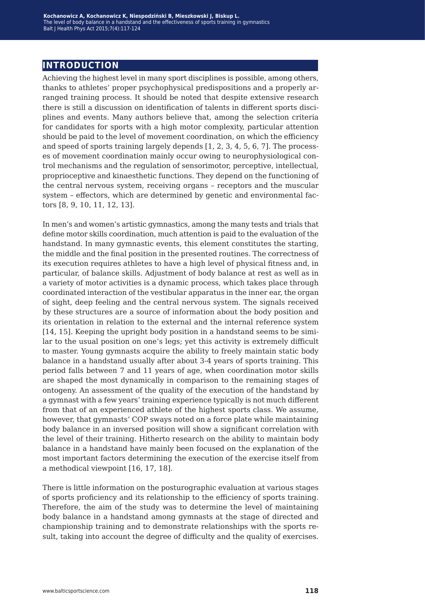### **introduction**

Achieving the highest level in many sport disciplines is possible, among others, thanks to athletes' proper psychophysical predispositions and a properly arranged training process. It should be noted that despite extensive research there is still a discussion on identification of talents in different sports disciplines and events. Many authors believe that, among the selection criteria for candidates for sports with a high motor complexity, particular attention should be paid to the level of movement coordination, on which the efficiency and speed of sports training largely depends [1, 2, 3, 4, 5, 6, 7]. The processes of movement coordination mainly occur owing to neurophysiological control mechanisms and the regulation of sensorimotor, perceptive, intellectual, proprioceptive and kinaesthetic functions. They depend on the functioning of the central nervous system, receiving organs – receptors and the muscular system – effectors, which are determined by genetic and environmental factors [8, 9, 10, 11, 12, 13].

In men's and women's artistic gymnastics, among the many tests and trials that define motor skills coordination, much attention is paid to the evaluation of the handstand. In many gymnastic events, this element constitutes the starting, the middle and the final position in the presented routines. The correctness of its execution requires athletes to have a high level of physical fitness and, in particular, of balance skills. Adjustment of body balance at rest as well as in a variety of motor activities is a dynamic process, which takes place through coordinated interaction of the vestibular apparatus in the inner ear, the organ of sight, deep feeling and the central nervous system. The signals received by these structures are a source of information about the body position and its orientation in relation to the external and the internal reference system [14, 15]. Keeping the upright body position in a handstand seems to be similar to the usual position on one's legs; yet this activity is extremely difficult to master. Young gymnasts acquire the ability to freely maintain static body balance in a handstand usually after about 3-4 years of sports training. This period falls between 7 and 11 years of age, when coordination motor skills are shaped the most dynamically in comparison to the remaining stages of ontogeny. An assessment of the quality of the execution of the handstand by a gymnast with a few years' training experience typically is not much different from that of an experienced athlete of the highest sports class. We assume, however, that gymnasts' COP sways noted on a force plate while maintaining body balance in an inversed position will show a significant correlation with the level of their training. Hitherto research on the ability to maintain body balance in a handstand have mainly been focused on the explanation of the most important factors determining the execution of the exercise itself from a methodical viewpoint [16, 17, 18].

There is little information on the posturographic evaluation at various stages of sports proficiency and its relationship to the efficiency of sports training. Therefore, the aim of the study was to determine the level of maintaining body balance in a handstand among gymnasts at the stage of directed and championship training and to demonstrate relationships with the sports result, taking into account the degree of difficulty and the quality of exercises.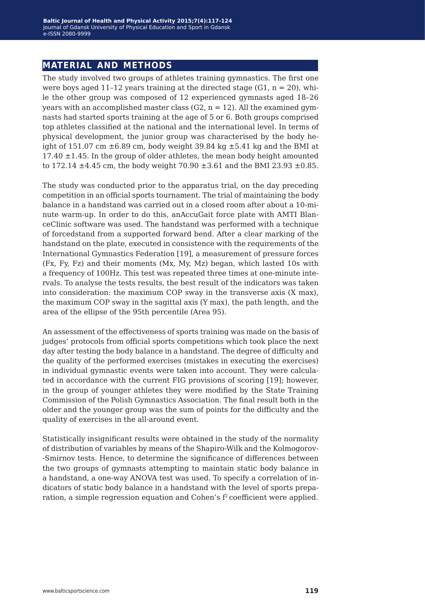#### **material and methods**

The study involved two groups of athletes training gymnastics. The first one were boys aged 11-12 years training at the directed stage  $(G1, n = 20)$ , while the other group was composed of 12 experienced gymnasts aged 18–26 years with an accomplished master class  $(G2, n = 12)$ . All the examined gymnasts had started sports training at the age of 5 or 6. Both groups comprised top athletes classified at the national and the international level. In terms of physical development, the junior group was characterised by the body height of 151.07 cm  $\pm$ 6.89 cm, body weight 39.84 kg  $\pm$ 5.41 kg and the BMI at 17.40  $\pm$ 1.45. In the group of older athletes, the mean body height amounted to 172.14  $\pm$ 4.45 cm, the body weight 70.90  $\pm$ 3.61 and the BMI 23.93  $\pm$ 0.85.

The study was conducted prior to the apparatus trial, on the day preceding competition in an official sports tournament. The trial of maintaining the body balance in a handstand was carried out in a closed room after about a 10-minute warm-up. In order to do this, anAccuGait force plate with AMTI BlanceClinic software was used. The handstand was performed with a technique of forcedstand from a supported forward bend. After a clear marking of the handstand on the plate, executed in consistence with the requirements of the International Gymnastics Federation [19], a measurement of pressure forces (Fx, Fy, Fz) and their moments (Mx, My, Mz) began, which lasted 10s with a frequency of 100Hz. This test was repeated three times at one-minute intervals. To analyse the tests results, the best result of the indicators was taken into consideration: the maximum COP sway in the transverse axis (X max), the maximum COP sway in the sagittal axis (Y max), the path length, and the area of the ellipse of the 95th percentile (Area 95).

An assessment of the effectiveness of sports training was made on the basis of judges' protocols from official sports competitions which took place the next day after testing the body balance in a handstand. The degree of difficulty and the quality of the performed exercises (mistakes in executing the exercises) in individual gymnastic events were taken into account. They were calculated in accordance with the current FIG provisions of scoring [19]; however, in the group of younger athletes they were modified by the State Training Commission of the Polish Gymnastics Association. The final result both in the older and the younger group was the sum of points for the difficulty and the quality of exercises in the all-around event.

Statistically insignificant results were obtained in the study of the normality of distribution of variables by means of the Shapiro-Wilk and the Kolmogorov- -Smirnov tests. Hence, to determine the significance of differences between the two groups of gymnasts attempting to maintain static body balance in a handstand, a one-way ANOVA test was used. To specify a correlation of indicators of static body balance in a handstand with the level of sports preparation, a simple regression equation and Cohen's  $f^2$  coefficient were applied.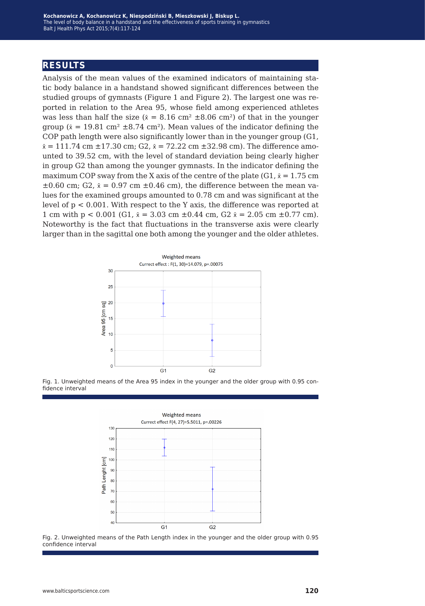## **results**

Analysis of the mean values of the examined indicators of maintaining static body balance in a handstand showed significant differences between the studied groups of gymnasts (Figure 1 and Figure 2). The largest one was reported in relation to the Area 95, whose field among experienced athletes was less than half the size ( $\bar{x} = 8.16$  cm<sup>2</sup>  $\pm 8.06$  cm<sup>2</sup>) of that in the younger group ( $\bar{x} = 19.81$  cm<sup>2</sup>  $\pm$ 8.74 cm<sup>2</sup>). Mean values of the indicator defining the COP path length were also significantly lower than in the younger group (G1,  $\bar{x} = 111.74$  cm  $\pm 17.30$  cm; G2,  $\bar{x} = 72.22$  cm  $\pm 32.98$  cm). The difference amounted to 39.52 cm, with the level of standard deviation being clearly higher in group G2 than among the younger gymnasts. In the indicator defining the maximum COP sway from the X axis of the centre of the plate (G1,  $\bar{x} = 1.75$  cm  $\pm 0.60$  cm; G2,  $\bar{x} = 0.97$  cm  $\pm 0.46$  cm), the difference between the mean values for the examined groups amounted to 0.78 cm and was significant at the level of p < 0.001. With respect to the Y axis, the difference was reported at 1 cm with  $p < 0.001$  (G1,  $\bar{x} = 3.03$  cm  $\pm 0.44$  cm, G2  $\bar{x} = 2.05$  cm  $\pm 0.77$  cm). Noteworthy is the fact that fluctuations in the transverse axis were clearly larger than in the sagittal one both among the younger and the older athletes.



Fig. 1. Unweighted means of the Area 95 index in the younger and the older group with 0.95 confidence interval



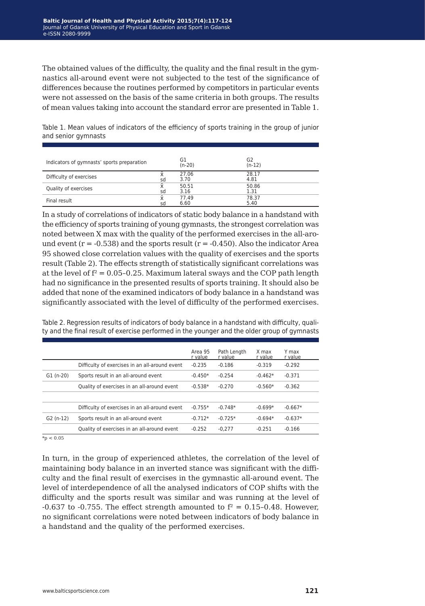The obtained values of the difficulty, the quality and the final result in the gymnastics all-around event were not subjected to the test of the significance of differences because the routines performed by competitors in particular events were not assessed on the basis of the same criteria in both groups. The results of mean values taking into account the standard error are presented in Table 1.

Table 1. Mean values of indicators of the efficiency of sports training in the group of junior and senior gymnasts

| Indicators of gymnasts' sports preparation |    | G1<br>$(n-20)$ | G2<br>$(n-12)$ |
|--------------------------------------------|----|----------------|----------------|
| Difficulty of exercises                    | sd | 27.06<br>3.70  | 28.17<br>4.81  |
| Quality of exercises                       | x  | 50.51          | 50.86          |
|                                            | sd | 3.16           | 1.31           |
| Final result                               | x  | 77.49          | 78.37          |
|                                            | sd | 6.60           | 5.40           |

In a study of correlations of indicators of static body balance in a handstand with the efficiency of sports training of young gymnasts, the strongest correlation was noted between X max with the quality of the performed exercises in the all-around event  $(r = -0.538)$  and the sports result  $(r = -0.450)$ . Also the indicator Area 95 showed close correlation values with the quality of exercises and the sports result (Table 2). The effects strength of statistically significant correlations was at the level of  $f^2 = 0.05 - 0.25$ . Maximum lateral sways and the COP path length had no significance in the presented results of sports training. It should also be added that none of the examined indicators of body balance in a handstand was significantly associated with the level of difficulty of the performed exercises.

| $-0.667*$<br>$-0.637*$ |
|------------------------|

Table 2. Regression results of indicators of body balance in a handstand with difficulty, quality and the final result of exercise performed in the younger and the older group of gymnasts

 $*_{p}$  < 0.05

In turn, in the group of experienced athletes, the correlation of the level of maintaining body balance in an inverted stance was significant with the difficulty and the final result of exercises in the gymnastic all-around event. The level of interdependence of all the analysed indicators of COP shifts with the difficulty and the sports result was similar and was running at the level of -0.637 to -0.755. The effect strength amounted to  $f^2 = 0.15$ -0.48. However, no significant correlations were noted between indicators of body balance in a handstand and the quality of the performed exercises.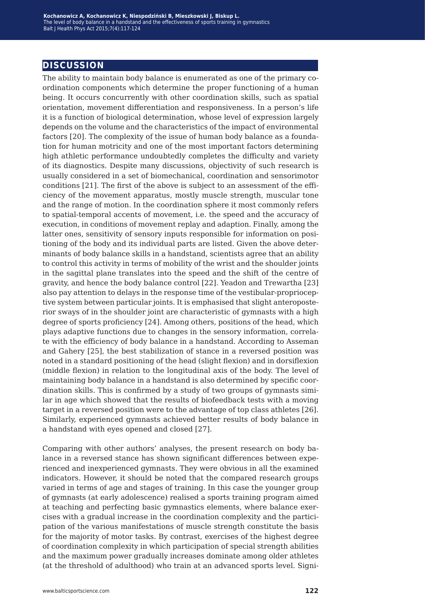### **discussion**

The ability to maintain body balance is enumerated as one of the primary coordination components which determine the proper functioning of a human being. It occurs concurrently with other coordination skills, such as spatial orientation, movement differentiation and responsiveness. In a person's life it is a function of biological determination, whose level of expression largely depends on the volume and the characteristics of the impact of environmental factors [20]. The complexity of the issue of human body balance as a foundation for human motricity and one of the most important factors determining high athletic performance undoubtedly completes the difficulty and variety of its diagnostics. Despite many discussions, objectivity of such research is usually considered in a set of biomechanical, coordination and sensorimotor conditions [21]. The first of the above is subject to an assessment of the efficiency of the movement apparatus, mostly muscle strength, muscular tone and the range of motion. In the coordination sphere it most commonly refers to spatial-temporal accents of movement, i.e. the speed and the accuracy of execution, in conditions of movement replay and adaption. Finally, among the latter ones, sensitivity of sensory inputs responsible for information on positioning of the body and its individual parts are listed. Given the above determinants of body balance skills in a handstand, scientists agree that an ability to control this activity in terms of mobility of the wrist and the shoulder joints in the sagittal plane translates into the speed and the shift of the centre of gravity, and hence the body balance control [22]. Yeadon and Trewartha [23] also pay attention to delays in the response time of the vestibular-proprioceptive system between particular joints. It is emphasised that slight anteroposterior sways of in the shoulder joint are characteristic of gymnasts with a high degree of sports proficiency [24]. Among others, positions of the head, which plays adaptive functions due to changes in the sensory information, correlate with the efficiency of body balance in a handstand. According to Asseman and Gahery [25], the best stabilization of stance in a reversed position was noted in a standard positioning of the head (slight flexion) and in dorsiflexion (middle flexion) in relation to the longitudinal axis of the body. The level of maintaining body balance in a handstand is also determined by specific coordination skills. This is confirmed by a study of two groups of gymnasts similar in age which showed that the results of biofeedback tests with a moving target in a reversed position were to the advantage of top class athletes [26]. Similarly, experienced gymnasts achieved better results of body balance in a handstand with eyes opened and closed [27].

Comparing with other authors' analyses, the present research on body balance in a reversed stance has shown significant differences between experienced and inexperienced gymnasts. They were obvious in all the examined indicators. However, it should be noted that the compared research groups varied in terms of age and stages of training. In this case the younger group of gymnasts (at early adolescence) realised a sports training program aimed at teaching and perfecting basic gymnastics elements, where balance exercises with a gradual increase in the coordination complexity and the participation of the various manifestations of muscle strength constitute the basis for the majority of motor tasks. By contrast, exercises of the highest degree of coordination complexity in which participation of special strength abilities and the maximum power gradually increases dominate among older athletes (at the threshold of adulthood) who train at an advanced sports level. Signi-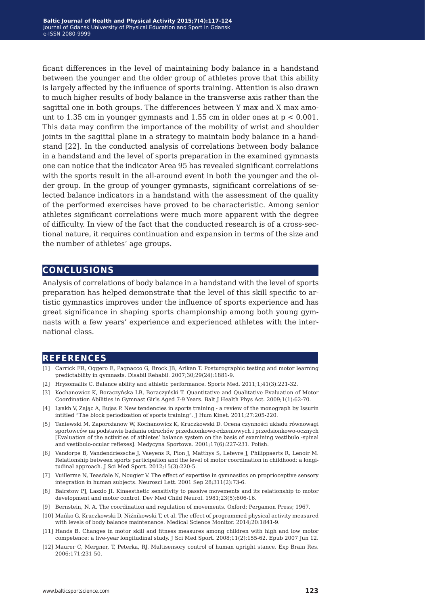ficant differences in the level of maintaining body balance in a handstand between the younger and the older group of athletes prove that this ability is largely affected by the influence of sports training. Attention is also drawn to much higher results of body balance in the transverse axis rather than the sagittal one in both groups. The differences between Y max and X max amount to 1.35 cm in younger gymnasts and 1.55 cm in older ones at  $p < 0.001$ . This data may confirm the importance of the mobility of wrist and shoulder joints in the sagittal plane in a strategy to maintain body balance in a handstand [22]. In the conducted analysis of correlations between body balance in a handstand and the level of sports preparation in the examined gymnasts one can notice that the indicator Area 95 has revealed significant correlations with the sports result in the all-around event in both the younger and the older group. In the group of younger gymnasts, significant correlations of selected balance indicators in a handstand with the assessment of the quality of the performed exercises have proved to be characteristic. Among senior athletes significant correlations were much more apparent with the degree of difficulty. In view of the fact that the conducted research is of a cross-sectional nature, it requires continuation and expansion in terms of the size and the number of athletes' age groups.

#### **conclusions**

Analysis of correlations of body balance in a handstand with the level of sports preparation has helped demonstrate that the level of this skill specific to artistic gymnastics improves under the influence of sports experience and has great significance in shaping sports championship among both young gymnasts with a few years' experience and experienced athletes with the international class.

### **references**

- [1] Carrick FR, Oggero E, Pagnacco G, Brock JB, Arikan T. Posturographic testing and motor learning predictability in gymnasts. Disabil Rehabil. 2007;30;29(24):1881-9.
- [2] Hrysomallis C. Balance ability and athletic performance. Sports Med. 2011;1;41(3):221-32.
- [3] Kochanowicz K, Boraczyńska LB, Boraczyński T. Quantitative and Qualitative Evaluation of Motor Coordination Abilities in Gymnast Girls Aged 7-9 Years. Balt J Health Phys Act. 2009;1(1):62-70.
- [4] Lyakh V, Zając A, Bujas P. New tendencies in sports training a review of the monograph by Issurin intitled "The block periodization of sports training". J Hum Kinet. 2011;27:205-220.
- [5] Taniewski M, Zaporożanow W, Kochanowicz K, Kruczkowski D. Ocena czynności układu równowagi sportowców na podstawie badania odruchów przedsionkowo-rdzeniowych i przedsionkowo-ocznych [Evaluation of the activities of athletes' balance system on the basis of examining vestibulo -spinal and vestibulo-ocular reflexes]. Medycyna Sportowa. 2001;17(6):227-231. Polish.
- [6] Vandorpe B, Vandendriessche J, Vaeyens R, Pion J, Matthys S, Lefevre J, Philippaerts R, Lenoir M. Relationship between sports participation and the level of motor coordination in childhood: a longitudinal approach. J Sci Med Sport. 2012;15(3):220-5.
- [7] Vuillerme N, Teasdale N, Nougier V. The effect of expertise in gymnastics on proprioceptive sensory integration in human subjects. Neurosci Lett. 2001 Sep 28;311(2):73-6.
- [8] Bairstow PJ, Laszlo JI. Kinaesthetic sensitivity to passive movements and its relationship to motor development and motor control. Dev Med Child Neurol. 1981;23(5):606-16.
- [9] Bernstein, N. A. The coordination and regulation of movements. Oxford: Pergamon Press; 1967.
- [10] Mańko G, Kruczkowski D, Niźnikowski T, et al. The effect of programmed physical activity measured with levels of body balance maintenance. Medical Science Monitor. 2014;20:1841-9.
- [11] Hands B. Changes in motor skill and fitness measures among children with high and low motor competence: a five-year longitudinal study. J Sci Med Sport. 2008;11(2):155-62. Epub 2007 Jun 12.
- [12] Maurer C, Mergner, T, Peterka, RJ. Multisensory control of human upright stance. Exp Brain Res. 2006;171:231-50.